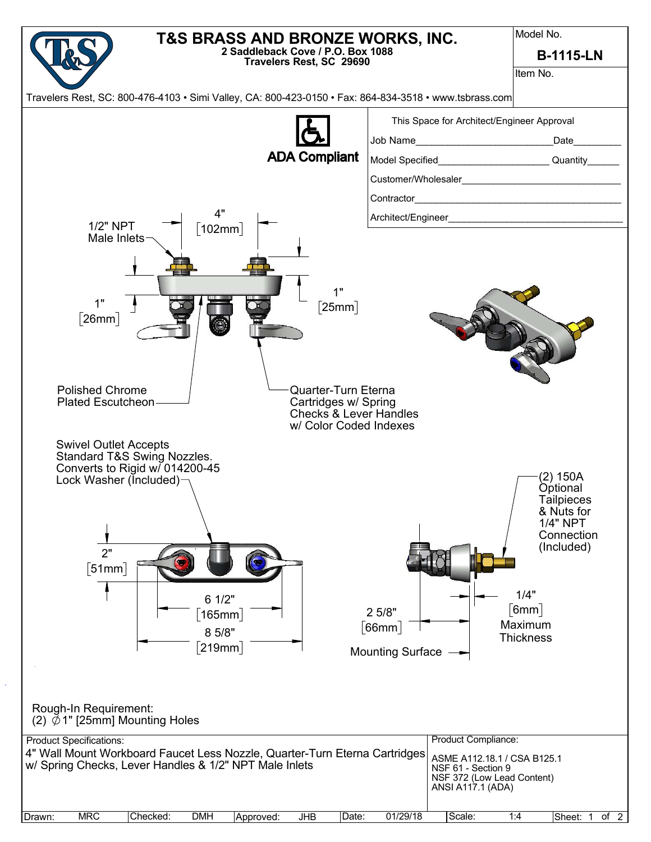